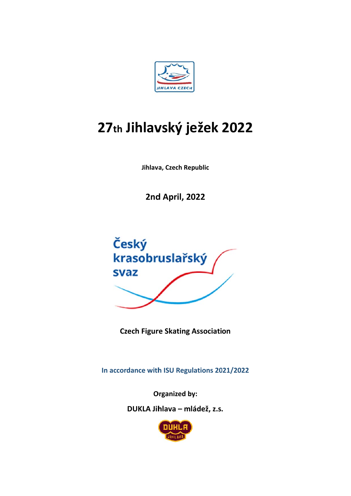

# 27th Jihlavský ježek 2022

Jihlava, Czech Republic

**2nd April, 2022** 



**Czech Figure Skating Association** 

In accordance with ISU Regulations 2021/2022

**Organized by:** 

DUKLA Jihlava - mládež, z.s.

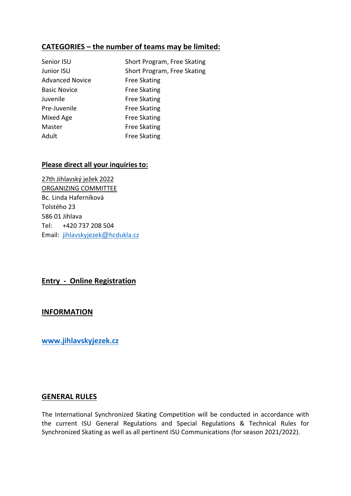# **CATEGORIES – the number of teams may be limited:**

| Senior ISU             | Short Program, Free Skating |
|------------------------|-----------------------------|
| Junior ISU             | Short Program, Free Skating |
| <b>Advanced Novice</b> | <b>Free Skating</b>         |
| <b>Basic Novice</b>    | <b>Free Skating</b>         |
| Juvenile               | <b>Free Skating</b>         |
| Pre-Juvenile           | <b>Free Skating</b>         |
| Mixed Age              | <b>Free Skating</b>         |
| Master                 | <b>Free Skating</b>         |
| Adult                  | <b>Free Skating</b>         |

#### **Please direct all your inquiries to:**

27th Jihlavský ježek 2022 ORGANIZING COMMITTEE Bc. Linda Haferníková Tolstého 23 586 01 Jihlava Tel: +420 737 208 504 Email: jihlavskyjezek@hcdukla.cz

# **Entry ‐ Online Registration**

#### **INFORMATION**

**www.jihlavskyjezek.cz** 

#### **GENERAL RULES**

The International Synchronized Skating Competition will be conducted in accordance with the current ISU General Regulations and Special Regulations & Technical Rules for Synchronized Skating as well as all pertinent ISU Communications (for season 2021/2022).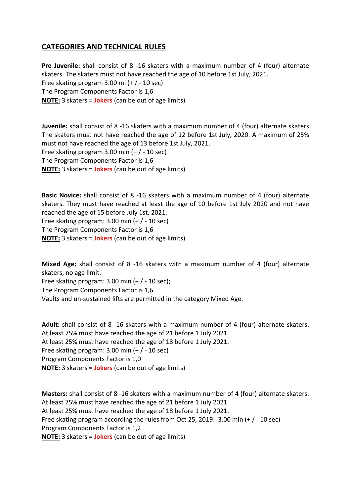# **CATEGORIES AND TECHNICAL RULES**

**Pre Juvenile:** shall consist of 8 ‐16 skaters with a maximum number of 4 (four) alternate skaters. The skaters must not have reached the age of 10 before 1st July, 2021. Free skating program 3.00 mi (+ / ‐ 10 sec) The Program Components Factor is 1,6 **NOTE:** 3 skaters = **Jokers** (can be out of age limits)

**Juvenile:** shall consist of 8 ‐16 skaters with a maximum number of 4 (four) alternate skaters The skaters must not have reached the age of 12 before 1st July, 2020. A maximum of 25% must not have reached the age of 13 before 1st July, 2021. Free skating program 3.00 min (+ / ‐ 10 sec) The Program Components Factor is 1,6 **NOTE:** 3 skaters = **Jokers** (can be out of age limits)

**Basic Novice:** shall consist of 8 ‐16 skaters with a maximum number of 4 (four) alternate skaters. They must have reached at least the age of 10 before 1st July 2020 and not have reached the age of 15 before July 1st, 2021. Free skating program:  $3.00$  min (+  $/$  - 10 sec) The Program Components Factor is 1,6

**NOTE:** 3 skaters = **Jokers** (can be out of age limits)

**Mixed Age:** shall consist of 8 ‐16 skaters with a maximum number of 4 (four) alternate skaters, no age limit.

Free skating program:  $3.00$  min (+  $/$  - 10 sec);

The Program Components Factor is 1,6

Vaults and un‐sustained lifts are permitted in the category Mixed Age.

Adult: shall consist of 8 -16 skaters with a maximum number of 4 (four) alternate skaters. At least 75% must have reached the age of 21 before 1 July 2021. At least 25% must have reached the age of 18 before 1 July 2021. Free skating program: 3.00 min (+ / ‐ 10 sec) Program Components Factor is 1,0 **NOTE:** 3 skaters = **Jokers** (can be out of age limits)

**Masters:** shall consist of 8 ‐16 skaters with a maximum number of 4 (four) alternate skaters. At least 75% must have reached the age of 21 before 1 July 2021. At least 25% must have reached the age of 18 before 1 July 2021. Free skating program according the rules from Oct 25, 2019: 3.00 min (+ / ‐ 10 sec) Program Components Factor is 1,2 **NOTE:** 3 skaters = **Jokers** (can be out of age limits)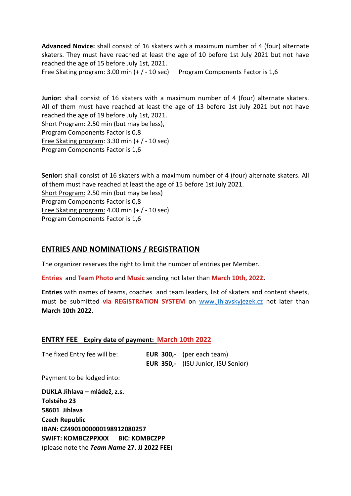**Advanced Novice:** shall consist of 16 skaters with a maximum number of 4 (four) alternate skaters. They must have reached at least the age of 10 before 1st July 2021 but not have reached the age of 15 before July 1st, 2021.

Free Skating program: 3.00 min (+ / ‐ 10 sec) Program Components Factor is 1,6

**Junior:** shall consist of 16 skaters with a maximum number of 4 (four) alternate skaters. All of them must have reached at least the age of 13 before 1st July 2021 but not have reached the age of 19 before July 1st, 2021.

Short Program: 2.50 min (but may be less), Program Components Factor is 0,8 Free Skating program: 3.30 min (+ / ‐ 10 sec)

Program Components Factor is 1,6

**Senior:** shall consist of 16 skaters with a maximum number of 4 (four) alternate skaters. All of them must have reached at least the age of 15 before 1st July 2021. Short Program: 2.50 min (but may be less) Program Components Factor is 0,8 Free Skating program: 4.00 min (+ / ‐ 10 sec)

Program Components Factor is 1,6

#### **ENTRIES AND NOMINATIONS / REGISTRATION**

The organizer reserves the right to limit the number of entries per Member.

**Entries** and **Team Photo** and **Music** sending not later than **March 10th, 2022.**

**Entries** with names of teams, coaches and team leaders, list of skaters and content sheets, must be submitted **via REGISTRATION SYSTEM** on www.jihlavskyjezek.cz not later than **March 10th 2022.**

#### **ENTRY FEE Expiry date of payment: March 10th 2022**

| The fixed Entry fee will be: | EUR $300$ ,- (per each team)              |
|------------------------------|-------------------------------------------|
|                              | <b>EUR 350,-</b> (ISU Junior, ISU Senior) |

Payment to be lodged into:

**DUKLA Jihlava – mládež, z.s. Tolstého 23 58601 Jihlava Czech Republic IBAN: CZ4901000000198912080257 SWIFT: KOMBCZPPXXX BIC: KOMBCZPP**  (please note the *Team Name* **27. JJ 2022 FEE**)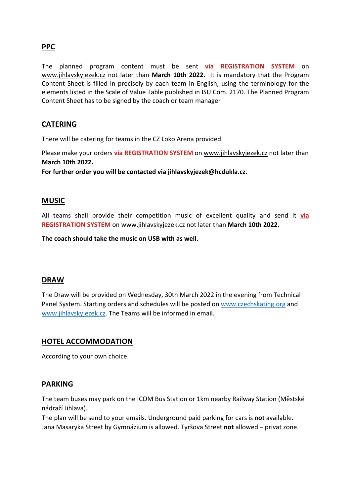# **PPC**

The planned program content must be sent **via REGISTRATION SYSTEM** on www.jihlavskyjezek.cz not later than **March 10th 2022.** It is mandatory that the Program Content Sheet is filled in precisely by each team in English, using the terminology for the elements listed in the Scale of Value Table published in ISU Com. 2170. The Planned Program Content Sheet has to be signed by the coach or team manager

# **CATERING**

There will be catering for teams in the CZ Loko Arena provided.

Please make your orders **via REGISTRATION SYSTEM** on www.jihlavskyjezek.cz not later than **March 10th 2022.**

**For further order you will be contacted via jihlavskyjezek@hcdukla.cz.**

#### **MUSIC**

All teams shall provide their competition music of excellent quality and send it **via REGISTRATION SYSTEM** on www.jihlavskyjezek.cz not later than **March 10th 2022.**

**The coach should take the music on USB with as well.**

# **DRAW**

The Draw will be provided on Wednesday, 30th March 2022 in the evening from Technical Panel System. Starting orders and schedules will be posted on www.czechskating.org and www.jihlavskyjezek.cz. The Teams will be informed in email.

# **HOTEL ACCOMMODATION**

According to your own choice.

#### **PARKING**

The team buses may park on the ICOM Bus Station or 1km nearby Railway Station (Městské nádraží Jihlava).

The plan will be send to your emails. Underground paid parking for cars is **not** available. Jana Masaryka Street by Gymnázium is allowed. Tyršova Street **not** allowed – privat zone.